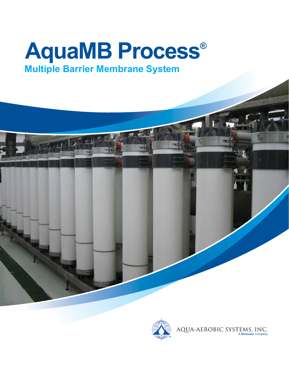# **AquaMB Process® Multiple Barrier Membrane System**

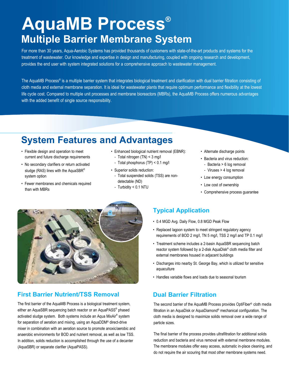# **AquaMB Process® Multiple Barrier Membrane System**

For more than 30 years, Aqua-Aerobic Systems has provided thousands of customers with state-of-the-art products and systems for the treatment of wastewater. Our knowledge and expertise in design and manufacturing, coupled with ongoing research and development, provides the end user with system integrated solutions for a comprehensive approach to wastewater management.

The AquaMB Process® is a multiple barrier system that integrates biological treatment and clarification with dual barrier filtration consisting of cloth media and external membrane separation. It is ideal for wastewater plants that require optimum performance and flexibility at the lowest life cycle cost. Compared to multiple unit processes and membrane bioreactors (MBRs), the AquaMB Process offers numerous advantages with the added benefit of single source responsibility.

## **System Features and Advantages**

- Flexible design and operation to meet current and future discharge requirements
- No secondary clarifiers or return activated sludge (RAS) lines with the AquaSBR® system option
- Fewer membranes and chemicals required than with MBRs
- Enhanced biological nutrient removal (EBNR):
	- Total nitrogen (TN) < 3 mg/l
	- Total phosphorus (TP) < 0.1 mg/l
- Superior solids reduction:
	- Total suspended solids (TSS) are non detectable (ND)
	- Turbidity < 0.1 NTU
- Alternate discharge points
- Bacteria and virus reduction:
	- Bacteria > 6 log removal
	- Viruses > 4 log removal
- Low energy consumption
- Low cost of ownership
- Comprehensive process guarantee



### **First Barrier Nutrient/TSS Removal <b>Dual Barrier Filtration**

The first barrier of the AquaMB Process is a biological treatment system, either an AquaSBR sequencing batch reactor or an AquaPASS® phased activated sludge system. Both systems include an Aqua MixAir® system for separation of aeration and mixing, using an AquaDDM® direct-drive mixer in combination with an aeration source to promote anoxic/aerobic and anaerobic environments for BOD and nutrient removal, as well as low TSS. In addition, solids reduction is accomplished through the use of a decanter (AquaSBR) or separate clarifier (AquaPASS).

### **Typical Application**

- 0.4 MGD Avg. Daily Flow, 0.8 MGD Peak Flow
- Replaced lagoon system to meet stringent regulatory agency requirements of BOD 2 mg/l, TN 5 mg/l, TSS 2 mg/l and TP 0.1 mg/l
- Treatment scheme includes a 2-basin AquaSBR sequencing batch reactor system followed by a 2-disk AquaDisk® cloth media filter and external membranes housed in adjacent buildings
- Discharges into nearby St. George Bay, which is utilized for sensitive aquaculture
- Handles variable flows and loads due to seasonal tourism

The second barrier of the AquaMB Process provides OptiFiber® cloth media filtration in an AquaDisk or AquaDiamond® mechanical configuration. The cloth media is designed to maximize solids removal over a wide range of particle sizes.

The final barrier of the process provides ultrafiltration for additional solids reduction and bacteria and virus removal with external membrane modules. The membrane modules offer easy access, automatic in-place cleaning, and do not require the air scouring that most other membrane systems need.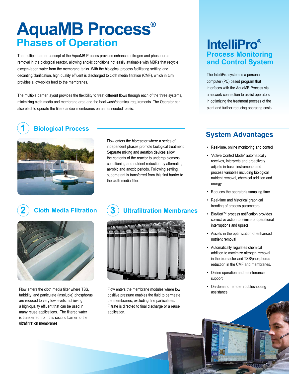# **AquaMB Process® Phases of Operation**

The multiple barrier concept of the AquaMB Process provides enhanced nitrogen and phosphorus removal in the biological reactor, allowing anoxic conditions not easily attainable with MBRs that recycle oxygen-laden water from the membrane tanks. With the biological process facilitating settling and decanting/clarification, high quality effluent is discharged to cloth media filtration (CMF), which in turn provides a low-solids feed to the membranes.

The multiple barrier layout provides the flexibility to treat different flows through each of the three systems, minimizing cloth media and membrane area and the backwash/chemical requirements. The Operator can also elect to operate the filters and/or membranes on an 'as needed' basis.

### **Biological Process 1**



Flow enters the bioreactor where a series of independent phases promote biological treatment. Separate mixing and aeration devices allow the contents of the reactor to undergo biomass conditioning and nutrient reduction by alternating aerobic and anoxic periods. Following settling, supernatant is transferred from this first barrier to the cloth media filter.

### **2** Cloth Media Filtration



Flow enters the cloth media filter where TSS, turbidity, and particulate (insoluble) phosphorus are reduced to very low levels, achieving a high-quality effluent that can be used in many reuse applications. The filtered water is transferred from this second barrier to the ultrafiltration membranes.

## **Cloth Media Filtration Ultrafiltration Membranes**



Flow enters the membrane modules where low positive pressure enables the fluid to permeate the membranes, excluding fine particulates. Filtrate is directed to final discharge or a reuse application.

## **IntelliPro® Process Monitoring and Control System**

The IntelliPro system is a personal computer (PC) based program that interfaces with the AquaMB Process via a network connection to assist operators in optimizing the treatment process of the plant and further reducing operating costs.

## **System Advantages**

- Real-time, online monitoring and control
- "Active Control Mode" automatically receives, interprets and proactively adjusts in-basin instruments and process variables including biological nutrient removal, chemical addition and energy
- Reduces the operator's sampling time
- Real-time and historical graphical trending of process parameters
- BioAlert™ process notification provides corrective action to eliminate operational interruptions and upsets
- Assists in the optimization of enhanced nutrient removal
- Automatically regulates chemical addition to maximize nitrogen removal in the bioreactor and TSS/phosphorus reduction in the CMF and membranes.
- Online operation and maintenance support
- On-demand remote troubleshooting assistance